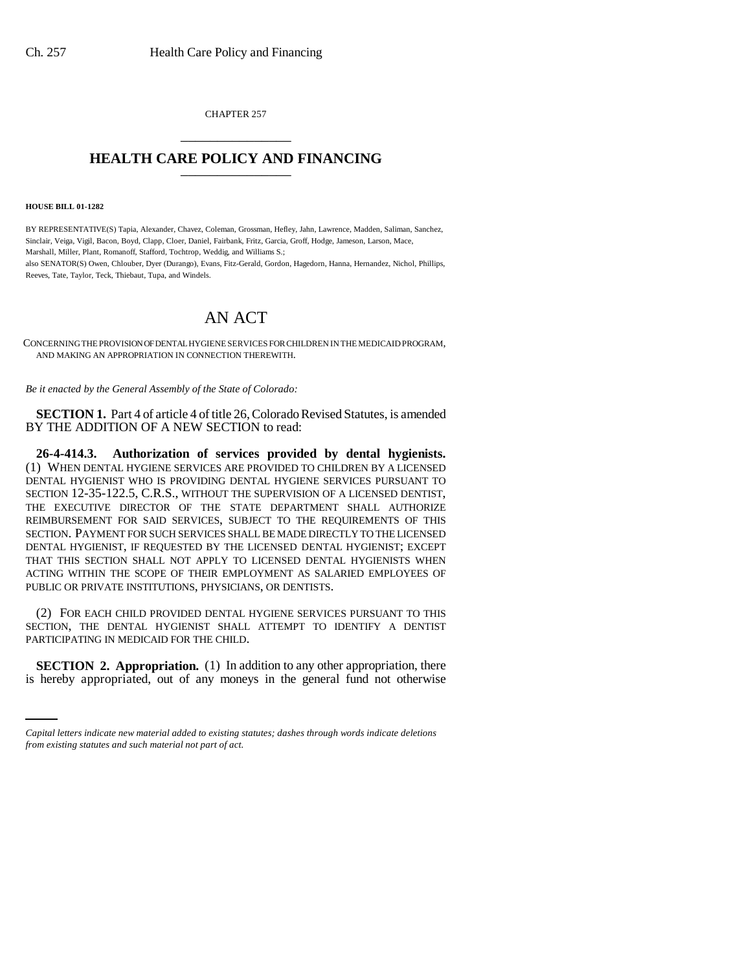CHAPTER 257 \_\_\_\_\_\_\_\_\_\_\_\_\_\_\_

## **HEALTH CARE POLICY AND FINANCING** \_\_\_\_\_\_\_\_\_\_\_\_\_\_\_

**HOUSE BILL 01-1282**

BY REPRESENTATIVE(S) Tapia, Alexander, Chavez, Coleman, Grossman, Hefley, Jahn, Lawrence, Madden, Saliman, Sanchez, Sinclair, Veiga, Vigil, Bacon, Boyd, Clapp, Cloer, Daniel, Fairbank, Fritz, Garcia, Groff, Hodge, Jameson, Larson, Mace, Marshall, Miller, Plant, Romanoff, Stafford, Tochtrop, Weddig, and Williams S.; also SENATOR(S) Owen, Chlouber, Dyer (Durango), Evans, Fitz-Gerald, Gordon, Hagedorn, Hanna, Hernandez, Nichol, Phillips, Reeves, Tate, Taylor, Teck, Thiebaut, Tupa, and Windels.

## AN ACT

CONCERNING THE PROVISION OF DENTAL HYGIENE SERVICES FOR CHILDREN IN THE MEDICAID PROGRAM, AND MAKING AN APPROPRIATION IN CONNECTION THEREWITH.

*Be it enacted by the General Assembly of the State of Colorado:*

**SECTION 1.** Part 4 of article 4 of title 26, Colorado Revised Statutes, is amended BY THE ADDITION OF A NEW SECTION to read:

**26-4-414.3. Authorization of services provided by dental hygienists.** (1) WHEN DENTAL HYGIENE SERVICES ARE PROVIDED TO CHILDREN BY A LICENSED DENTAL HYGIENIST WHO IS PROVIDING DENTAL HYGIENE SERVICES PURSUANT TO SECTION 12-35-122.5, C.R.S., WITHOUT THE SUPERVISION OF A LICENSED DENTIST, THE EXECUTIVE DIRECTOR OF THE STATE DEPARTMENT SHALL AUTHORIZE REIMBURSEMENT FOR SAID SERVICES, SUBJECT TO THE REQUIREMENTS OF THIS SECTION. PAYMENT FOR SUCH SERVICES SHALL BE MADE DIRECTLY TO THE LICENSED DENTAL HYGIENIST, IF REQUESTED BY THE LICENSED DENTAL HYGIENIST; EXCEPT THAT THIS SECTION SHALL NOT APPLY TO LICENSED DENTAL HYGIENISTS WHEN ACTING WITHIN THE SCOPE OF THEIR EMPLOYMENT AS SALARIED EMPLOYEES OF PUBLIC OR PRIVATE INSTITUTIONS, PHYSICIANS, OR DENTISTS.

(2) FOR EACH CHILD PROVIDED DENTAL HYGIENE SERVICES PURSUANT TO THIS SECTION, THE DENTAL HYGIENIST SHALL ATTEMPT TO IDENTIFY A DENTIST PARTICIPATING IN MEDICAID FOR THE CHILD.

**SECTION 2. Appropriation.** (1) In addition to any other appropriation, there is hereby appropriated, out of any moneys in the general fund not otherwise

*Capital letters indicate new material added to existing statutes; dashes through words indicate deletions from existing statutes and such material not part of act.*